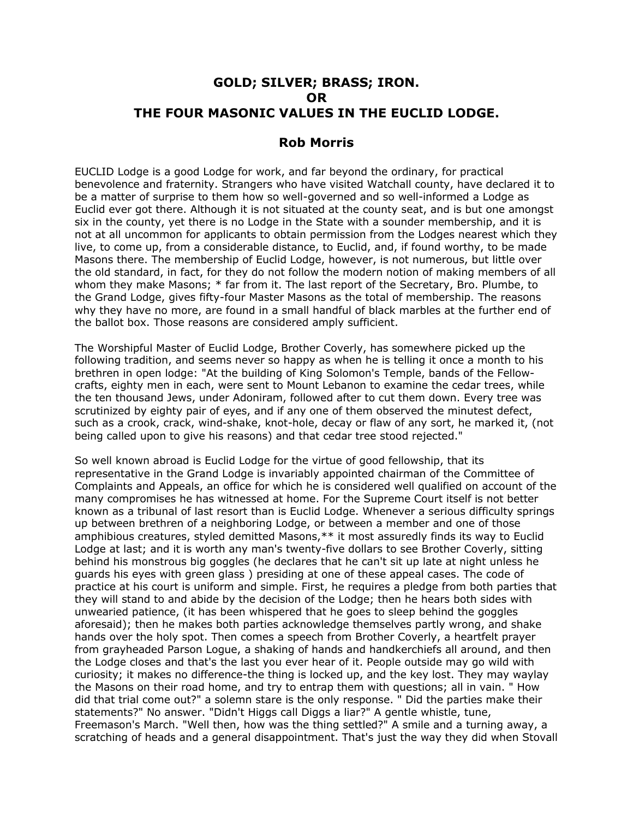# **GOLD; SILVER; BRASS; IRON. OR THE FOUR MASONIC VALUES IN THE EUCLID LODGE.**

# **Rob Morris**

EUCLID Lodge is a good Lodge for work, and far beyond the ordinary, for practical benevolence and fraternity. Strangers who have visited Watchall county, have declared it to be a matter of surprise to them how so well-governed and so well-informed a Lodge as Euclid ever got there. Although it is not situated at the county seat, and is but one amongst six in the county, yet there is no Lodge in the State with a sounder membership, and it is not at all uncommon for applicants to obtain permission from the Lodges nearest which they live, to come up, from a considerable distance, to Euclid, and, if found worthy, to be made Masons there. The membership of Euclid Lodge, however, is not numerous, but little over the old standard, in fact, for they do not follow the modern notion of making members of all whom they make Masons;  $*$  far from it. The last report of the Secretary, Bro. Plumbe, to the Grand Lodge, gives fifty-four Master Masons as the total of membership. The reasons why they have no more, are found in a small handful of black marbles at the further end of the ballot box. Those reasons are considered amply sufficient.

The Worshipful Master of Euclid Lodge, Brother Coverly, has somewhere picked up the following tradition, and seems never so happy as when he is telling it once a month to his brethren in open lodge: "At the building of King Solomon's Temple, bands of the Fellowcrafts, eighty men in each, were sent to Mount Lebanon to examine the cedar trees, while the ten thousand Jews, under Adoniram, followed after to cut them down. Every tree was scrutinized by eighty pair of eyes, and if any one of them observed the minutest defect, such as a crook, crack, wind-shake, knot-hole, decay or flaw of any sort, he marked it, (not being called upon to give his reasons) and that cedar tree stood rejected."

So well known abroad is Euclid Lodge for the virtue of good fellowship, that its representative in the Grand Lodge is invariably appointed chairman of the Committee of Complaints and Appeals, an office for which he is considered well qualified on account of the many compromises he has witnessed at home. For the Supreme Court itself is not better known as a tribunal of last resort than is Euclid Lodge. Whenever a serious difficulty springs up between brethren of a neighboring Lodge, or between a member and one of those amphibious creatures, styled demitted Masons,\*\* it most assuredly finds its way to Euclid Lodge at last; and it is worth any man's twenty-five dollars to see Brother Coverly, sitting behind his monstrous big goggles (he declares that he can't sit up late at night unless he guards his eyes with green glass ) presiding at one of these appeal cases. The code of practice at his court is uniform and simple. First, he requires a pledge from both parties that they will stand to and abide by the decision of the Lodge; then he hears both sides with unwearied patience, (it has been whispered that he goes to sleep behind the goggles aforesaid); then he makes both parties acknowledge themselves partly wrong, and shake hands over the holy spot. Then comes a speech from Brother Coverly, a heartfelt prayer from grayheaded Parson Logue, a shaking of hands and handkerchiefs all around, and then the Lodge closes and that's the last you ever hear of it. People outside may go wild with curiosity; it makes no difference-the thing is locked up, and the key lost. They may waylay the Masons on their road home, and try to entrap them with questions; all in vain. " How did that trial come out?" a solemn stare is the only response. " Did the parties make their statements?" No answer. "Didn't Higgs call Diggs a liar?" A gentle whistle, tune, Freemason's March. "Well then, how was the thing settled?" A smile and a turning away, a scratching of heads and a general disappointment. That's just the way they did when Stovall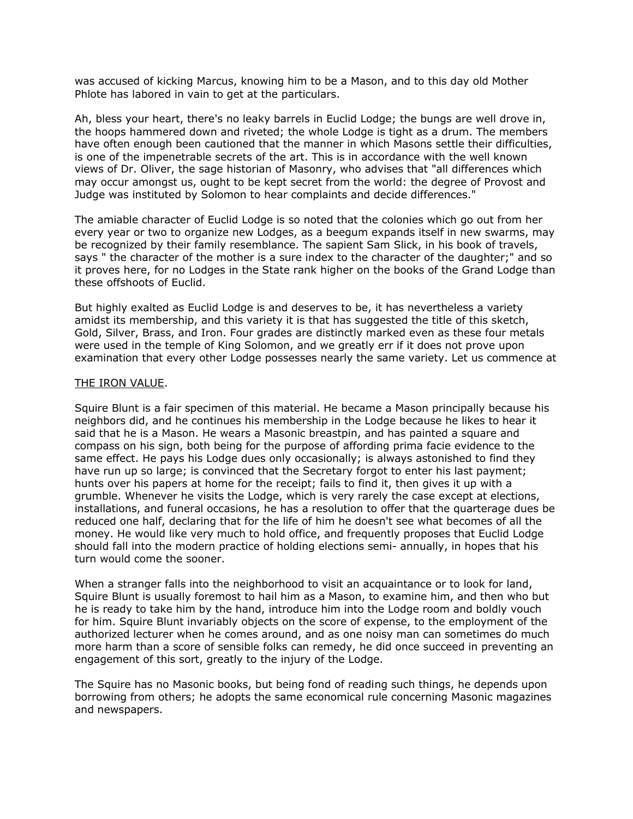was accused of kicking Marcus, knowing him to be a Mason, and to this day old Mother Phlote has labored in vain to get at the particulars.

Ah, bless your heart, there's no leaky barrels in Euclid Lodge; the bungs are well drove in, the hoops hammered down and riveted; the whole Lodge is tight as a drum. The members have often enough been cautioned that the manner in which Masons settle their difficulties, is one of the impenetrable secrets of the art. This is in accordance with the well known views of Dr. Oliver, the sage historian of Masonry, who advises that "all differences which may occur amongst us, ought to be kept secret from the world: the degree of Provost and Judge was instituted by Solomon to hear complaints and decide differences."

The amiable character of Euclid Lodge is so noted that the colonies which go out from her every year or two to organize new Lodges, as a beegum expands itself in new swarms, may be recognized by their family resemblance. The sapient Sam Slick, in his book of travels, says " the character of the mother is a sure index to the character of the daughter;" and so it proves here, for no Lodges in the State rank higher on the books of the Grand Lodge than these offshoots of Euclid.

But highly exalted as Euclid Lodge is and deserves to be, it has nevertheless a variety amidst its membership, and this variety it is that has suggested the title of this sketch, Gold, Silver, Brass, and Iron. Four grades are distinctly marked even as these four metals were used in the temple of King Solomon, and we greatly err if it does not prove upon examination that every other Lodge possesses nearly the same variety. Let us commence at

#### THE IRON VALUE.

Squire Blunt is a fair specimen of this material. He became a Mason principally because his neighbors did, and he continues his membership in the Lodge because he likes to hear it said that he is a Mason. He wears a Masonic breastpin, and has painted a square and compass on his sign, both being for the purpose of affording prima facie evidence to the same effect. He pays his Lodge dues only occasionally; is always astonished to find they have run up so large; is convinced that the Secretary forgot to enter his last payment; hunts over his papers at home for the receipt; fails to find it, then gives it up with a grumble. Whenever he visits the Lodge, which is very rarely the case except at elections, installations, and funeral occasions, he has a resolution to offer that the quarterage dues be reduced one half, declaring that for the life of him he doesn't see what becomes of all the money. He would like very much to hold office, and frequently proposes that Euclid Lodge should fall into the modern practice of holding elections semi- annually, in hopes that his turn would come the sooner.

When a stranger falls into the neighborhood to visit an acquaintance or to look for land, Squire Blunt is usually foremost to hail him as a Mason, to examine him, and then who but he is ready to take him by the hand, introduce him into the Lodge room and boldly vouch for him. Squire Blunt invariably objects on the score of expense, to the employment of the authorized lecturer when he comes around, and as one noisy man can sometimes do much more harm than a score of sensible folks can remedy, he did once succeed in preventing an engagement of this sort, greatly to the injury of the Lodge.

The Squire has no Masonic books, but being fond of reading such things, he depends upon borrowing from others; he adopts the same economical rule concerning Masonic magazines and newspapers.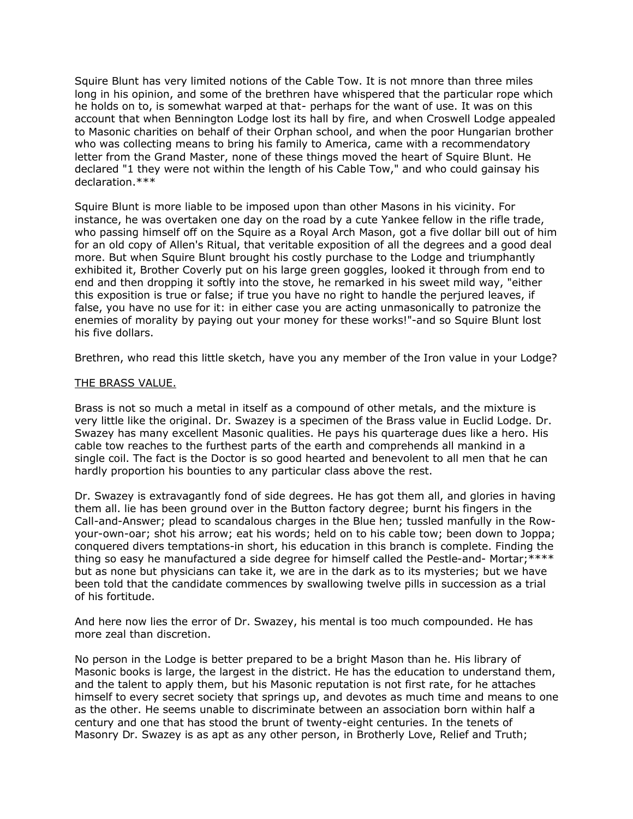Squire Blunt has very limited notions of the Cable Tow. It is not mnore than three miles long in his opinion, and some of the brethren have whispered that the particular rope which he holds on to, is somewhat warped at that- perhaps for the want of use. It was on this account that when Bennington Lodge lost its hall by fire, and when Croswell Lodge appealed to Masonic charities on behalf of their Orphan school, and when the poor Hungarian brother who was collecting means to bring his family to America, came with a recommendatory letter from the Grand Master, none of these things moved the heart of Squire Blunt. He declared "1 they were not within the length of his Cable Tow," and who could gainsay his declaration.\*\*\*

Squire Blunt is more liable to be imposed upon than other Masons in his vicinity. For instance, he was overtaken one day on the road by a cute Yankee fellow in the rifle trade, who passing himself off on the Squire as a Royal Arch Mason, got a five dollar bill out of him for an old copy of Allen's Ritual, that veritable exposition of all the degrees and a good deal more. But when Squire Blunt brought his costly purchase to the Lodge and triumphantly exhibited it, Brother Coverly put on his large green goggles, looked it through from end to end and then dropping it softly into the stove, he remarked in his sweet mild way, "either this exposition is true or false; if true you have no right to handle the perjured leaves, if false, you have no use for it: in either case you are acting unmasonically to patronize the enemies of morality by paying out your money for these works!"-and so Squire Blunt lost his five dollars.

Brethren, who read this little sketch, have you any member of the Iron value in your Lodge?

### THE BRASS VALUE.

Brass is not so much a metal in itself as a compound of other metals, and the mixture is very little like the original. Dr. Swazey is a specimen of the Brass value in Euclid Lodge. Dr. Swazey has many excellent Masonic qualities. He pays his quarterage dues like a hero. His cable tow reaches to the furthest parts of the earth and comprehends all mankind in a single coil. The fact is the Doctor is so good hearted and benevolent to all men that he can hardly proportion his bounties to any particular class above the rest.

Dr. Swazey is extravagantly fond of side degrees. He has got them all, and glories in having them all. lie has been ground over in the Button factory degree; burnt his fingers in the Call-and-Answer; plead to scandalous charges in the Blue hen; tussled manfully in the Rowyour-own-oar; shot his arrow; eat his words; held on to his cable tow; been down to Joppa; conquered divers temptations-in short, his education in this branch is complete. Finding the thing so easy he manufactured a side degree for himself called the Pestle-and- Mortar;\*\*\*\* but as none but physicians can take it, we are in the dark as to its mysteries; but we have been told that the candidate commences by swallowing twelve pills in succession as a trial of his fortitude.

And here now lies the error of Dr. Swazey, his mental is too much compounded. He has more zeal than discretion.

No person in the Lodge is better prepared to be a bright Mason than he. His library of Masonic books is large, the largest in the district. He has the education to understand them, and the talent to apply them, but his Masonic reputation is not first rate, for he attaches himself to every secret society that springs up, and devotes as much time and means to one as the other. He seems unable to discriminate between an association born within half a century and one that has stood the brunt of twenty-eight centuries. In the tenets of Masonry Dr. Swazey is as apt as any other person, in Brotherly Love, Relief and Truth;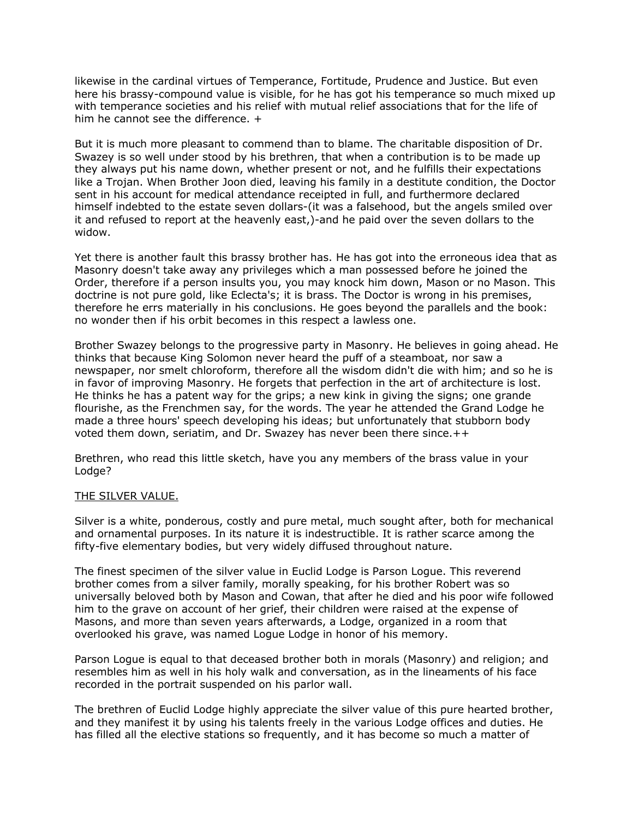likewise in the cardinal virtues of Temperance, Fortitude, Prudence and Justice. But even here his brassy-compound value is visible, for he has got his temperance so much mixed up with temperance societies and his relief with mutual relief associations that for the life of him he cannot see the difference. +

But it is much more pleasant to commend than to blame. The charitable disposition of Dr. Swazey is so well under stood by his brethren, that when a contribution is to be made up they always put his name down, whether present or not, and he fulfills their expectations like a Trojan. When Brother Joon died, leaving his family in a destitute condition, the Doctor sent in his account for medical attendance receipted in full, and furthermore declared himself indebted to the estate seven dollars-(it was a falsehood, but the angels smiled over it and refused to report at the heavenly east,)-and he paid over the seven dollars to the widow.

Yet there is another fault this brassy brother has. He has got into the erroneous idea that as Masonry doesn't take away any privileges which a man possessed before he joined the Order, therefore if a person insults you, you may knock him down, Mason or no Mason. This doctrine is not pure gold, like Eclecta's; it is brass. The Doctor is wrong in his premises, therefore he errs materially in his conclusions. He goes beyond the parallels and the book: no wonder then if his orbit becomes in this respect a lawless one.

Brother Swazey belongs to the progressive party in Masonry. He believes in going ahead. He thinks that because King Solomon never heard the puff of a steamboat, nor saw a newspaper, nor smelt chloroform, therefore all the wisdom didn't die with him; and so he is in favor of improving Masonry. He forgets that perfection in the art of architecture is lost. He thinks he has a patent way for the grips; a new kink in giving the signs; one grande flourishe, as the Frenchmen say, for the words. The year he attended the Grand Lodge he made a three hours' speech developing his ideas; but unfortunately that stubborn body voted them down, seriatim, and Dr. Swazey has never been there since.++

Brethren, who read this little sketch, have you any members of the brass value in your Lodge?

## THE SILVER VALUE.

Silver is a white, ponderous, costly and pure metal, much sought after, both for mechanical and ornamental purposes. In its nature it is indestructible. It is rather scarce among the fifty-five elementary bodies, but very widely diffused throughout nature.

The finest specimen of the silver value in Euclid Lodge is Parson Logue. This reverend brother comes from a silver family, morally speaking, for his brother Robert was so universally beloved both by Mason and Cowan, that after he died and his poor wife followed him to the grave on account of her grief, their children were raised at the expense of Masons, and more than seven years afterwards, a Lodge, organized in a room that overlooked his grave, was named Logue Lodge in honor of his memory.

Parson Logue is equal to that deceased brother both in morals (Masonry) and religion; and resembles him as well in his holy walk and conversation, as in the lineaments of his face recorded in the portrait suspended on his parlor wall.

The brethren of Euclid Lodge highly appreciate the silver value of this pure hearted brother, and they manifest it by using his talents freely in the various Lodge offices and duties. He has filled all the elective stations so frequently, and it has become so much a matter of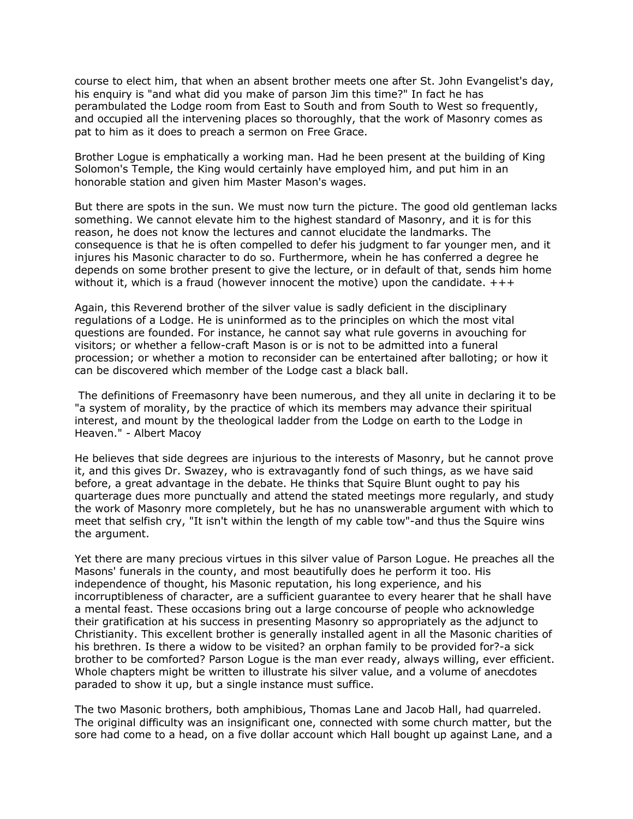course to elect him, that when an absent brother meets one after St. John Evangelist's day, his enquiry is "and what did you make of parson Jim this time?" In fact he has perambulated the Lodge room from East to South and from South to West so frequently, and occupied all the intervening places so thoroughly, that the work of Masonry comes as pat to him as it does to preach a sermon on Free Grace.

Brother Logue is emphatically a working man. Had he been present at the building of King Solomon's Temple, the King would certainly have employed him, and put him in an honorable station and given him Master Mason's wages.

But there are spots in the sun. We must now turn the picture. The good old gentleman lacks something. We cannot elevate him to the highest standard of Masonry, and it is for this reason, he does not know the lectures and cannot elucidate the landmarks. The consequence is that he is often compelled to defer his judgment to far younger men, and it injures his Masonic character to do so. Furthermore, whein he has conferred a degree he depends on some brother present to give the lecture, or in default of that, sends him home without it, which is a fraud (however innocent the motive) upon the candidate.  $+++$ 

Again, this Reverend brother of the silver value is sadly deficient in the disciplinary regulations of a Lodge. He is uninformed as to the principles on which the most vital questions are founded. For instance, he cannot say what rule governs in avouching for visitors; or whether a fellow-craft Mason is or is not to be admitted into a funeral procession; or whether a motion to reconsider can be entertained after balloting; or how it can be discovered which member of the Lodge cast a black ball.

 The definitions of Freemasonry have been numerous, and they all unite in declaring it to be "a system of morality, by the practice of which its members may advance their spiritual interest, and mount by the theological ladder from the Lodge on earth to the Lodge in Heaven." - Albert Macoy

He believes that side degrees are injurious to the interests of Masonry, but he cannot prove it, and this gives Dr. Swazey, who is extravagantly fond of such things, as we have said before, a great advantage in the debate. He thinks that Squire Blunt ought to pay his quarterage dues more punctually and attend the stated meetings more regularly, and study the work of Masonry more completely, but he has no unanswerable argument with which to meet that selfish cry, "It isn't within the length of my cable tow"-and thus the Squire wins the argument.

Yet there are many precious virtues in this silver value of Parson Logue. He preaches all the Masons' funerals in the county, and most beautifully does he perform it too. His independence of thought, his Masonic reputation, his long experience, and his incorruptibleness of character, are a sufficient guarantee to every hearer that he shall have a mental feast. These occasions bring out a large concourse of people who acknowledge their gratification at his success in presenting Masonry so appropriately as the adjunct to Christianity. This excellent brother is generally installed agent in all the Masonic charities of his brethren. Is there a widow to be visited? an orphan family to be provided for?-a sick brother to be comforted? Parson Logue is the man ever ready, always willing, ever efficient. Whole chapters might be written to illustrate his silver value, and a volume of anecdotes paraded to show it up, but a single instance must suffice.

The two Masonic brothers, both amphibious, Thomas Lane and Jacob Hall, had quarreled. The original difficulty was an insignificant one, connected with some church matter, but the sore had come to a head, on a five dollar account which Hall bought up against Lane, and a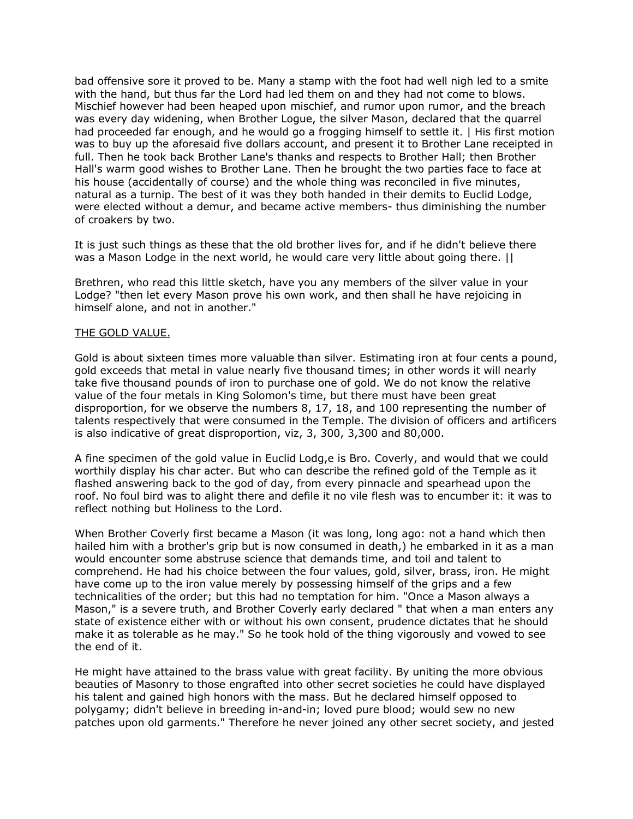bad offensive sore it proved to be. Many a stamp with the foot had well nigh led to a smite with the hand, but thus far the Lord had led them on and they had not come to blows. Mischief however had been heaped upon mischief, and rumor upon rumor, and the breach was every day widening, when Brother Logue, the silver Mason, declared that the quarrel had proceeded far enough, and he would go a frogging himself to settle it. | His first motion was to buy up the aforesaid five dollars account, and present it to Brother Lane receipted in full. Then he took back Brother Lane's thanks and respects to Brother Hall; then Brother Hall's warm good wishes to Brother Lane. Then he brought the two parties face to face at his house (accidentally of course) and the whole thing was reconciled in five minutes, natural as a turnip. The best of it was they both handed in their demits to Euclid Lodge, were elected without a demur, and became active members- thus diminishing the number of croakers by two.

It is just such things as these that the old brother lives for, and if he didn't believe there was a Mason Lodge in the next world, he would care very little about going there. ||

Brethren, who read this little sketch, have you any members of the silver value in your Lodge? "then let every Mason prove his own work, and then shall he have rejoicing in himself alone, and not in another."

#### THE GOLD VALUE.

Gold is about sixteen times more valuable than silver. Estimating iron at four cents a pound, gold exceeds that metal in value nearly five thousand times; in other words it will nearly take five thousand pounds of iron to purchase one of gold. We do not know the relative value of the four metals in King Solomon's time, but there must have been great disproportion, for we observe the numbers 8, 17, 18, and 100 representing the number of talents respectively that were consumed in the Temple. The division of officers and artificers is also indicative of great disproportion, viz, 3, 300, 3,300 and 80,000.

A fine specimen of the gold value in Euclid Lodg,e is Bro. Coverly, and would that we could worthily display his char acter. But who can describe the refined gold of the Temple as it flashed answering back to the god of day, from every pinnacle and spearhead upon the roof. No foul bird was to alight there and defile it no vile flesh was to encumber it: it was to reflect nothing but Holiness to the Lord.

When Brother Coverly first became a Mason (it was long, long ago: not a hand which then hailed him with a brother's grip but is now consumed in death,) he embarked in it as a man would encounter some abstruse science that demands time, and toil and talent to comprehend. He had his choice between the four values, gold, silver, brass, iron. He might have come up to the iron value merely by possessing himself of the grips and a few technicalities of the order; but this had no temptation for him. "Once a Mason always a Mason," is a severe truth, and Brother Coverly early declared " that when a man enters any state of existence either with or without his own consent, prudence dictates that he should make it as tolerable as he may." So he took hold of the thing vigorously and vowed to see the end of it.

He might have attained to the brass value with great facility. By uniting the more obvious beauties of Masonry to those engrafted into other secret societies he could have displayed his talent and gained high honors with the mass. But he declared himself opposed to polygamy; didn't believe in breeding in-and-in; loved pure blood; would sew no new patches upon old garments." Therefore he never joined any other secret society, and jested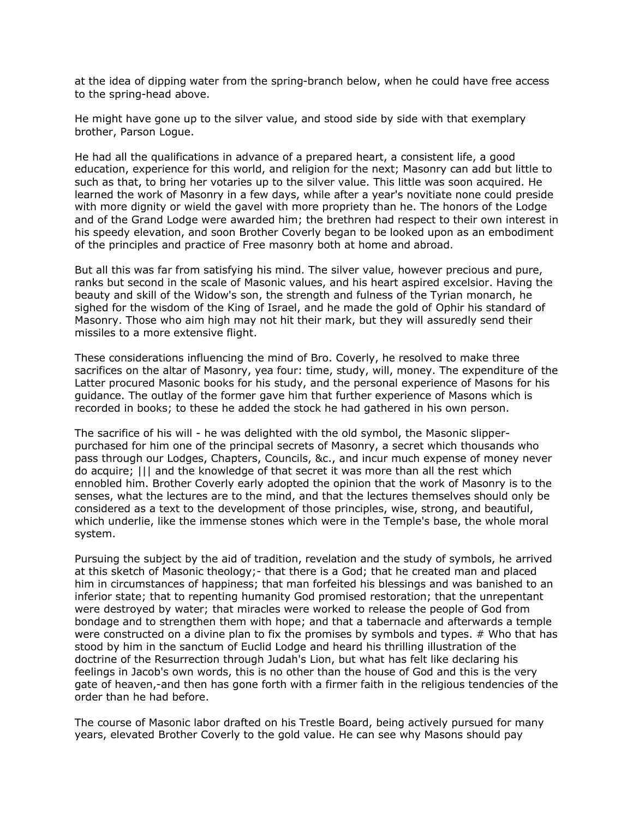at the idea of dipping water from the spring-branch below, when he could have free access to the spring-head above.

He might have gone up to the silver value, and stood side by side with that exemplary brother, Parson Logue.

He had all the qualifications in advance of a prepared heart, a consistent life, a good education, experience for this world, and religion for the next; Masonry can add but little to such as that, to bring her votaries up to the silver value. This little was soon acquired. He learned the work of Masonry in a few days, while after a year's novitiate none could preside with more dignity or wield the gavel with more propriety than he. The honors of the Lodge and of the Grand Lodge were awarded him; the brethren had respect to their own interest in his speedy elevation, and soon Brother Coverly began to be looked upon as an embodiment of the principles and practice of Free masonry both at home and abroad.

But all this was far from satisfying his mind. The silver value, however precious and pure, ranks but second in the scale of Masonic values, and his heart aspired excelsior. Having the beauty and skill of the Widow's son, the strength and fulness of the Tyrian monarch, he sighed for the wisdom of the King of Israel, and he made the gold of Ophir his standard of Masonry. Those who aim high may not hit their mark, but they will assuredly send their missiles to a more extensive flight.

These considerations influencing the mind of Bro. Coverly, he resolved to make three sacrifices on the altar of Masonry, yea four: time, study, will, money. The expenditure of the Latter procured Masonic books for his study, and the personal experience of Masons for his guidance. The outlay of the former gave him that further experience of Masons which is recorded in books; to these he added the stock he had gathered in his own person.

The sacrifice of his will - he was delighted with the old symbol, the Masonic slipperpurchased for him one of the principal secrets of Masonry, a secret which thousands who pass through our Lodges, Chapters, Councils, &c., and incur much expense of money never do acquire; ||| and the knowledge of that secret it was more than all the rest which ennobled him. Brother Coverly early adopted the opinion that the work of Masonry is to the senses, what the lectures are to the mind, and that the lectures themselves should only be considered as a text to the development of those principles, wise, strong, and beautiful, which underlie, like the immense stones which were in the Temple's base, the whole moral system.

Pursuing the subject by the aid of tradition, revelation and the study of symbols, he arrived at this sketch of Masonic theology;- that there is a God; that he created man and placed him in circumstances of happiness; that man forfeited his blessings and was banished to an inferior state; that to repenting humanity God promised restoration; that the unrepentant were destroyed by water; that miracles were worked to release the people of God from bondage and to strengthen them with hope; and that a tabernacle and afterwards a temple were constructed on a divine plan to fix the promises by symbols and types. # Who that has stood by him in the sanctum of Euclid Lodge and heard his thrilling illustration of the doctrine of the Resurrection through Judah's Lion, but what has felt like declaring his feelings in Jacob's own words, this is no other than the house of God and this is the very gate of heaven,-and then has gone forth with a firmer faith in the religious tendencies of the order than he had before.

The course of Masonic labor drafted on his Trestle Board, being actively pursued for many years, elevated Brother Coverly to the gold value. He can see why Masons should pay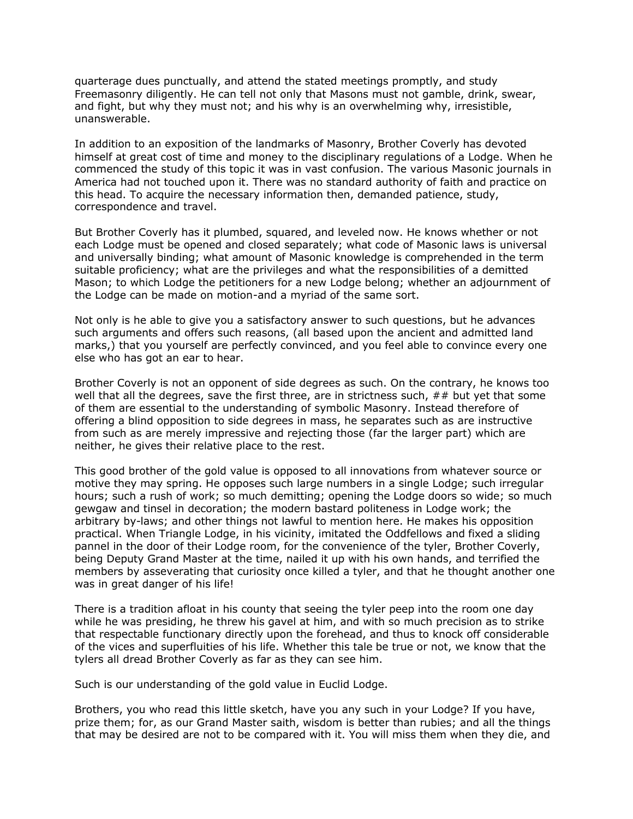quarterage dues punctually, and attend the stated meetings promptly, and study Freemasonry diligently. He can tell not only that Masons must not gamble, drink, swear, and fight, but why they must not; and his why is an overwhelming why, irresistible, unanswerable.

In addition to an exposition of the landmarks of Masonry, Brother Coverly has devoted himself at great cost of time and money to the disciplinary regulations of a Lodge. When he commenced the study of this topic it was in vast confusion. The various Masonic journals in America had not touched upon it. There was no standard authority of faith and practice on this head. To acquire the necessary information then, demanded patience, study, correspondence and travel.

But Brother Coverly has it plumbed, squared, and leveled now. He knows whether or not each Lodge must be opened and closed separately; what code of Masonic laws is universal and universally binding; what amount of Masonic knowledge is comprehended in the term suitable proficiency; what are the privileges and what the responsibilities of a demitted Mason; to which Lodge the petitioners for a new Lodge belong; whether an adjournment of the Lodge can be made on motion-and a myriad of the same sort.

Not only is he able to give you a satisfactory answer to such questions, but he advances such arguments and offers such reasons, (all based upon the ancient and admitted land marks,) that you yourself are perfectly convinced, and you feel able to convince every one else who has got an ear to hear.

Brother Coverly is not an opponent of side degrees as such. On the contrary, he knows too well that all the degrees, save the first three, are in strictness such,  $\# \#$  but yet that some of them are essential to the understanding of symbolic Masonry. Instead therefore of offering a blind opposition to side degrees in mass, he separates such as are instructive from such as are merely impressive and rejecting those (far the larger part) which are neither, he gives their relative place to the rest.

This good brother of the gold value is opposed to all innovations from whatever source or motive they may spring. He opposes such large numbers in a single Lodge; such irregular hours; such a rush of work; so much demitting; opening the Lodge doors so wide; so much gewgaw and tinsel in decoration; the modern bastard politeness in Lodge work; the arbitrary by-laws; and other things not lawful to mention here. He makes his opposition practical. When Triangle Lodge, in his vicinity, imitated the Oddfellows and fixed a sliding pannel in the door of their Lodge room, for the convenience of the tyler, Brother Coverly, being Deputy Grand Master at the time, nailed it up with his own hands, and terrified the members by asseverating that curiosity once killed a tyler, and that he thought another one was in great danger of his life!

There is a tradition afloat in his county that seeing the tyler peep into the room one day while he was presiding, he threw his gavel at him, and with so much precision as to strike that respectable functionary directly upon the forehead, and thus to knock off considerable of the vices and superfluities of his life. Whether this tale be true or not, we know that the tylers all dread Brother Coverly as far as they can see him.

Such is our understanding of the gold value in Euclid Lodge.

Brothers, you who read this little sketch, have you any such in your Lodge? If you have, prize them; for, as our Grand Master saith, wisdom is better than rubies; and all the things that may be desired are not to be compared with it. You will miss them when they die, and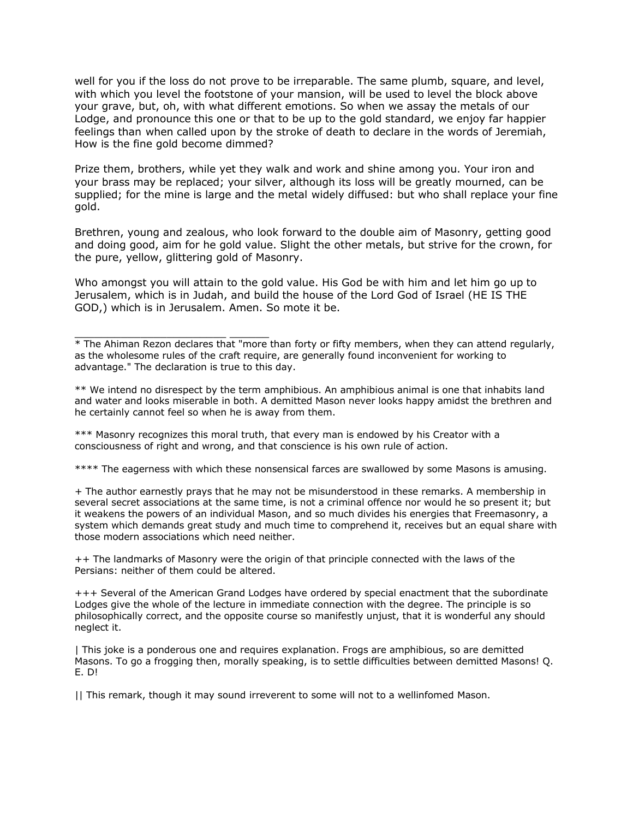well for you if the loss do not prove to be irreparable. The same plumb, square, and level, with which you level the footstone of your mansion, will be used to level the block above your grave, but, oh, with what different emotions. So when we assay the metals of our Lodge, and pronounce this one or that to be up to the gold standard, we enjoy far happier feelings than when called upon by the stroke of death to declare in the words of Jeremiah, How is the fine gold become dimmed?

Prize them, brothers, while yet they walk and work and shine among you. Your iron and your brass may be replaced; your silver, although its loss will be greatly mourned, can be supplied; for the mine is large and the metal widely diffused: but who shall replace your fine gold.

Brethren, young and zealous, who look forward to the double aim of Masonry, getting good and doing good, aim for he gold value. Slight the other metals, but strive for the crown, for the pure, yellow, glittering gold of Masonry.

Who amongst you will attain to the gold value. His God be with him and let him go up to Jerusalem, which is in Judah, and build the house of the Lord God of Israel (HE IS THE GOD,) which is in Jerusalem. Amen. So mote it be.

\_\_\_\_\_\_\_\_\_\_\_\_\_\_\_\_\_\_\_\_\_\_\_ \_\_\_\_\_\_  $*$  The Ahiman Rezon declares that "more than forty or fifty members, when they can attend regularly, as the wholesome rules of the craft require, are generally found inconvenient for working to advantage." The declaration is true to this day.

\*\* We intend no disrespect by the term amphibious. An amphibious animal is one that inhabits land and water and looks miserable in both. A demitted Mason never looks happy amidst the brethren and he certainly cannot feel so when he is away from them.

\*\*\* Masonry recognizes this moral truth, that every man is endowed by his Creator with a consciousness of right and wrong, and that conscience is his own rule of action.

\*\*\*\* The eagerness with which these nonsensical farces are swallowed by some Masons is amusing.

+ The author earnestly prays that he may not be misunderstood in these remarks. A membership in several secret associations at the same time, is not a criminal offence nor would he so present it; but it weakens the powers of an individual Mason, and so much divides his energies that Freemasonry, a system which demands great study and much time to comprehend it, receives but an equal share with those modern associations which need neither.

++ The landmarks of Masonry were the origin of that principle connected with the laws of the Persians: neither of them could be altered.

+++ Several of the American Grand Lodges have ordered by special enactment that the subordinate Lodges give the whole of the lecture in immediate connection with the degree. The principle is so philosophically correct, and the opposite course so manifestly unjust, that it is wonderful any should neglect it.

| This joke is a ponderous one and requires explanation. Frogs are amphibious, so are demitted Masons. To go a frogging then, morally speaking, is to settle difficulties between demitted Masons! Q. E. D!

|| This remark, though it may sound irreverent to some will not to a wellinfomed Mason.